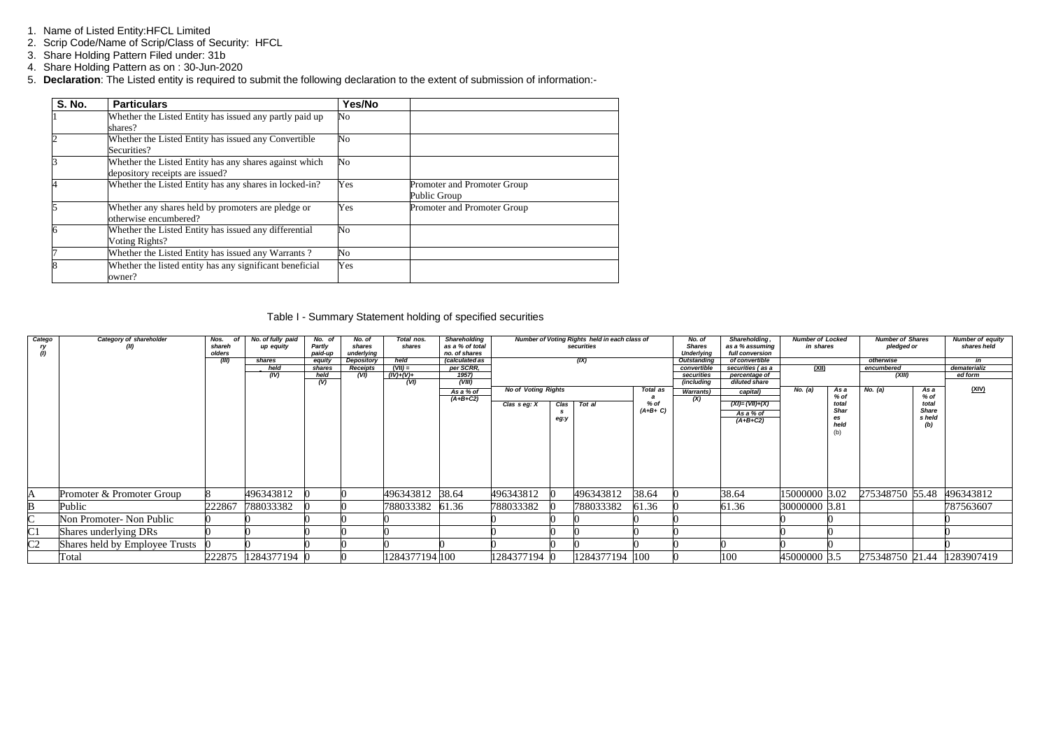- 1. Name of Listed Entity:HFCL Limited
- 2. Scrip Code/Name of Scrip/Class of Security: HFCL
- 3. Share Holding Pattern Filed under: 31b
- 4. Share Holding Pattern as on : 30-Jun-2020
- 5. **Declaration**: The Listed entity is required to submit the following declaration to the extent of submission of information:-

| <b>S. No.</b> | <b>Particulars</b>                                                                        | Yes/No |                                             |
|---------------|-------------------------------------------------------------------------------------------|--------|---------------------------------------------|
|               | Whether the Listed Entity has issued any partly paid up<br>shares?                        | No     |                                             |
|               | Whether the Listed Entity has issued any Convertible<br>Securities?                       | No     |                                             |
| 3             | Whether the Listed Entity has any shares against which<br>depository receipts are issued? | No     |                                             |
|               | Whether the Listed Entity has any shares in locked-in?                                    | Yes    | Promoter and Promoter Group<br>Public Group |
| 5             | Whether any shares held by promoters are pledge or<br>otherwise encumbered?               | Yes    | Promoter and Promoter Group                 |
| 6             | Whether the Listed Entity has issued any differential<br>Voting Rights?                   | No     |                                             |
|               | Whether the Listed Entity has issued any Warrants?                                        | No     |                                             |
|               | Whether the listed entity has any significant beneficial<br>owner?                        | Yes    |                                             |

# Table I - Summary Statement holding of specified securities

| Catego         | Category of shareholder        | Nos.<br>nf       | No. of fully paid   | No. of            | No. of               | Total nos.      | Shareholding                     |                            |                        | Number of Voting Rights held in each class of |          | No. of                             | Shareholding,                      | <b>Number of Locked</b> |              | <b>Number of Shares</b> |                | <b>Number of equity</b> |
|----------------|--------------------------------|------------------|---------------------|-------------------|----------------------|-----------------|----------------------------------|----------------------------|------------------------|-----------------------------------------------|----------|------------------------------------|------------------------------------|-------------------------|--------------|-------------------------|----------------|-------------------------|
| ry<br>(1)      | (II)                           | shareh<br>olders | up equity           | Partly<br>paid-up | shares<br>underlying | shares          | as a % of total<br>no, of shares |                            |                        | securities                                    |          | <b>Shares</b><br><b>Underlying</b> | as a % assuming<br>full conversion | in shares               |              | pledged or              |                | shares held             |
|                |                                | (III)            | shares              | equity            | Depository           | held            | <i>(calculated as</i>            |                            |                        | (IX)                                          |          | Outstanding                        | of convertible                     |                         |              | otherwise               |                | in                      |
|                |                                |                  | held                | shares            | Receipts             | $(VII) =$       | per SCRR,                        |                            |                        |                                               |          | convertible                        | securities (as a                   | (XII)                   |              | encumbered              |                | dematerializ            |
|                |                                |                  | (IV)                | held              | (VI)                 | $(IV)+(V)+$     | 1957)                            |                            |                        |                                               |          | securities                         | percentage of                      |                         |              | (XIII)                  |                | ed form                 |
|                |                                |                  |                     | $\overline{v}$    |                      | (VI)            | (VIII)                           |                            |                        |                                               |          | (including                         | diluted share                      |                         |              |                         |                |                         |
|                |                                |                  |                     |                   |                      |                 | As a % of                        | <b>No of Voting Rights</b> |                        |                                               | Total as | <b>Warrants</b> )                  | capital)                           | No. (a)                 | As a<br>% of | No. $(a)$               | As a<br>$%$ of | <u>(XIV)</u>            |
|                |                                |                  |                     |                   |                      |                 | $(A+B+C2)$                       | Clas seg: X                | % of<br>Tot al<br>Clas |                                               | (X)      | $(XI) = (VII)+(X)$                 |                                    | total                   |              | total                   |                |                         |
|                |                                |                  |                     |                   |                      |                 |                                  |                            | $(A+B+C)$              |                                               |          | As a % of                          |                                    | <b>Shar</b>             |              | <b>Share</b>            |                |                         |
|                |                                |                  |                     |                   |                      |                 |                                  |                            | eg:y                   |                                               |          |                                    | $(A+B+C2)$                         |                         | es           |                         | s held         |                         |
|                |                                |                  |                     |                   |                      |                 |                                  |                            |                        |                                               |          |                                    |                                    |                         | held         |                         | (b)            |                         |
|                |                                |                  |                     |                   |                      |                 |                                  |                            |                        |                                               |          |                                    |                                    |                         | (b)          |                         |                |                         |
|                |                                |                  |                     |                   |                      |                 |                                  |                            |                        |                                               |          |                                    |                                    |                         |              |                         |                |                         |
|                |                                |                  |                     |                   |                      |                 |                                  |                            |                        |                                               |          |                                    |                                    |                         |              |                         |                |                         |
|                |                                |                  |                     |                   |                      |                 |                                  |                            |                        |                                               |          |                                    |                                    |                         |              |                         |                |                         |
|                |                                |                  |                     |                   |                      |                 |                                  |                            |                        |                                               |          |                                    |                                    |                         |              |                         |                |                         |
|                |                                |                  |                     |                   |                      |                 |                                  |                            |                        |                                               |          |                                    |                                    |                         |              |                         |                |                         |
|                |                                |                  |                     |                   |                      |                 |                                  |                            |                        |                                               |          |                                    |                                    |                         |              |                         |                |                         |
| A              | Promoter & Promoter Group      |                  | 496343812           |                   |                      | 496343812 38.64 |                                  | 496343812                  |                        | 496343812                                     | 38.64    |                                    | 38.64                              | 15000000 3.02           |              | 275348750 55.48         |                | 496343812               |
| B              | Public                         | 222867           | 788033382           |                   |                      | 788033382       | 61.36                            | 788033382                  |                        | 788033382                                     | 61.36    |                                    | 61.36                              | 30000000 3.81           |              |                         |                | 787563607               |
| $\sim$         | Non Promoter- Non Public       |                  |                     |                   |                      |                 |                                  |                            |                        |                                               |          |                                    |                                    |                         |              |                         |                |                         |
| C1             | Shares underlying DRs          |                  |                     |                   |                      |                 |                                  |                            |                        |                                               |          |                                    |                                    |                         |              |                         |                |                         |
| C <sub>2</sub> | Shares held by Employee Trusts |                  |                     |                   |                      |                 |                                  |                            |                        |                                               |          |                                    |                                    |                         |              |                         |                |                         |
|                | Total                          |                  | 222875 1284377194 0 |                   |                      | 1284377194 100  |                                  | 1284377194                 |                        | 1284377194 100                                |          |                                    | 100                                | 45000000 3.5            |              | 275348750 21.44         |                | 1283907419              |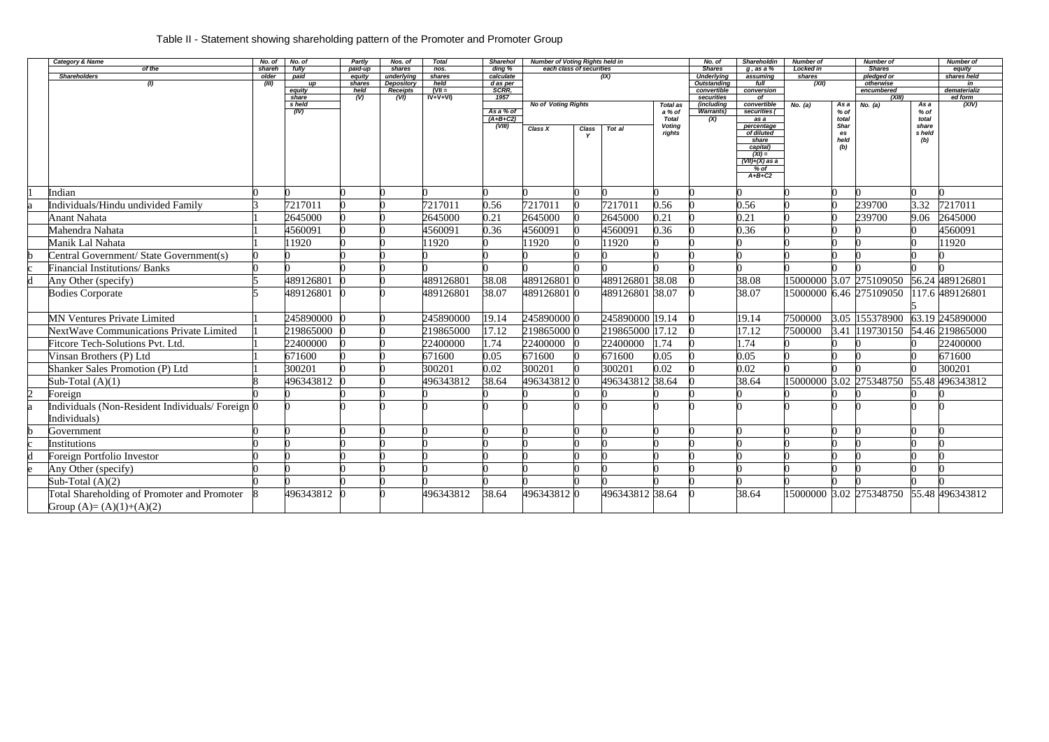| <b>Category &amp; Name</b>                             | No. of          | No. of                  | <b>Partly</b>             | Nos. of              | <b>Total</b>      | <b>Sharehol</b>                  | <b>Number of Voting Rights held in</b> |              |                 |                    | No. of                             | <b>Shareholdin</b>          | Number of           |              | Number of                   |              | <b>Number of</b>      |
|--------------------------------------------------------|-----------------|-------------------------|---------------------------|----------------------|-------------------|----------------------------------|----------------------------------------|--------------|-----------------|--------------------|------------------------------------|-----------------------------|---------------------|--------------|-----------------------------|--------------|-----------------------|
| of the<br><b>Shareholders</b>                          | shareh<br>older | fully<br>paid           | paid-up<br>equity         | shares<br>underlying | $n$ os.<br>shares | $\overline{diag\%}$<br>calculate | each class of securities               |              | (IX)            |                    | <b>Shares</b><br><b>Underlying</b> | $q$ , as a $%$<br>assuming  | Locked in<br>shares |              | <b>Shares</b><br>oledged or |              | equity<br>shares held |
| (1)                                                    | (III)           | up                      | shares                    | <b>Depository</b>    | held              | d as per                         |                                        |              |                 |                    | Outstanding                        | full                        | (XII)               |              | otherwise                   |              | in                    |
|                                                        |                 | equity                  | held                      | <b>Receipts</b>      | $(VII =$          | <b>SCRR.</b>                     |                                        |              |                 |                    | convertible                        | conversion                  |                     |              | encumbered                  |              | dematerializ          |
|                                                        |                 | share                   | $\overline{(\mathsf{V})}$ | (VI)                 | $IV+V+VI)$        | 1957                             |                                        |              |                 |                    | securities                         | of                          |                     |              | (XIII)                      |              | ed form               |
|                                                        |                 | s held<br>$\sqrt{(IV)}$ |                           |                      |                   | As a % of                        | <b>No of Voting Rights</b>             |              |                 | Total as<br>a % of | (includina<br>Warrants)            | convertible<br>securities ( | No. (a)             | As a<br>% of | No. $(a)$                   | As a<br>% of | (XIV)                 |
|                                                        |                 |                         |                           |                      |                   | $(A+B+C2)$                       |                                        |              |                 | <b>Total</b>       | (X)                                | as a                        |                     | total        |                             | total        |                       |
|                                                        |                 |                         |                           |                      |                   | (VIII)                           | <b>Class X</b>                         | <b>Class</b> | Tot al          | Voting             |                                    | percentage                  |                     | Shar         |                             | share        |                       |
|                                                        |                 |                         |                           |                      |                   |                                  |                                        |              |                 | rights             |                                    | of diluted                  |                     | es           |                             | s held       |                       |
|                                                        |                 |                         |                           |                      |                   |                                  |                                        |              |                 |                    |                                    | share<br>capital)           |                     | held<br>(b)  |                             | (b)          |                       |
|                                                        |                 |                         |                           |                      |                   |                                  |                                        |              |                 |                    |                                    | $(XI) =$                    |                     |              |                             |              |                       |
|                                                        |                 |                         |                           |                      |                   |                                  |                                        |              |                 |                    |                                    | $(VII)+(X)$ as a            |                     |              |                             |              |                       |
|                                                        |                 |                         |                           |                      |                   |                                  |                                        |              |                 |                    |                                    | % of                        |                     |              |                             |              |                       |
|                                                        |                 |                         |                           |                      |                   |                                  |                                        |              |                 |                    |                                    | $A+B+C2$                    |                     |              |                             |              |                       |
| Indian                                                 |                 |                         |                           |                      |                   |                                  |                                        |              |                 |                    |                                    |                             |                     |              |                             |              |                       |
|                                                        |                 |                         |                           |                      |                   |                                  |                                        |              |                 |                    |                                    |                             |                     |              |                             |              |                       |
| Individuals/Hindu undivided Family                     |                 | 7217011                 |                           |                      | 7217011           | 0.56                             | 7217011                                |              | 7217011         | 0.56               |                                    | 0.56                        |                     |              | 239700                      | 3.32         | 7217011               |
| <b>Anant Nahata</b>                                    |                 | 2645000                 |                           |                      | 2645000           | 0.21                             | 2645000                                |              | 2645000         | 0.21               |                                    | 0.21                        |                     |              | 239700                      | 9.06         | 2645000               |
| Mahendra Nahata                                        |                 | 4560091                 |                           |                      | 4560091           | 0.36                             | 4560091                                |              | 4560091         | 0.36               |                                    | 0.36                        |                     |              |                             |              | 4560091               |
| Manik Lal Nahata                                       |                 | 11920                   |                           |                      | 11920             |                                  | 11920                                  |              | 11920           |                    |                                    |                             |                     |              |                             |              | 11920                 |
| Central Government/ State Government(s)                |                 |                         |                           |                      |                   |                                  |                                        |              |                 |                    |                                    |                             |                     |              |                             |              |                       |
| <b>Financial Institutions/ Banks</b>                   |                 |                         |                           |                      |                   |                                  |                                        |              |                 |                    |                                    |                             |                     |              |                             |              |                       |
| Any Other (specify)                                    |                 | 489126801               |                           |                      | 489126801         | 38.08                            | 489126801 0                            |              | 489126801 38.08 |                    |                                    | 38.08                       |                     |              | 15000000 3.07 275109050     |              | 56.24 489126801       |
| <b>Bodies Corporate</b>                                |                 | 489126801               |                           |                      | 489126801         | 38.07                            | 489126801 0                            |              | 489126801 38.07 |                    |                                    | 38.07                       |                     |              | 15000000 6.46 275109050     |              | 117.6 489126801       |
|                                                        |                 |                         |                           |                      |                   |                                  |                                        |              |                 |                    |                                    |                             |                     |              |                             |              |                       |
| <b>MN Ventures Private Limited</b>                     |                 | 245890000               |                           |                      | 245890000         | 19.14                            | 245890000 0                            |              | 245890000 19.14 |                    |                                    | 19.14                       | 7500000             |              | 3.05 155378900              |              | 63.19 245890000       |
| <b>NextWave Communications Private Limited</b>         |                 | 219865000               |                           |                      | 219865000         | 17.12                            | 219865000 0                            |              | 219865000       | 17.12              |                                    | 17.12                       | 7500000             | 3.41         | 119730150                   |              | 54.46 219865000       |
| Fitcore Tech-Solutions Pvt. Ltd.                       |                 | 22400000                |                           |                      | 22400000          | 1.74                             | 22400000                               |              | 22400000        | .74                |                                    | l.74                        |                     |              |                             |              | 22400000              |
| Vinsan Brothers (P) Ltd                                |                 | 671600                  |                           |                      | 671600            | 0.05                             | 671600                                 | $\Omega$     | 671600          | 0.05               |                                    | 0.05                        |                     |              |                             |              | 671600                |
| <b>Shanker Sales Promotion (P) Ltd</b>                 |                 | 300201                  |                           |                      | 300201            | 0.02                             | 300201                                 | $\Omega$     | 300201          | 0.02               |                                    | 0.02                        |                     |              |                             |              | 300201                |
|                                                        |                 | 496343812               |                           |                      | 496343812         | 38.64                            | 496343812 0                            |              | 496343812 38.64 |                    |                                    | 38.64                       |                     |              | 15000000 3.02 275348750     |              | 55.48 496343812       |
| Sub-Total $(A)(1)$                                     |                 |                         |                           |                      |                   |                                  |                                        |              |                 |                    |                                    |                             |                     |              |                             |              |                       |
| Foreign                                                |                 |                         |                           |                      |                   |                                  |                                        |              |                 |                    |                                    |                             |                     |              |                             |              |                       |
| Individuals (Non-Resident Individuals/Foreign $\theta$ |                 |                         |                           |                      |                   |                                  |                                        |              |                 |                    |                                    |                             |                     |              |                             |              |                       |
| Individuals)                                           |                 |                         |                           |                      |                   |                                  |                                        |              |                 |                    |                                    |                             |                     |              |                             |              |                       |
| Government                                             |                 |                         |                           |                      |                   |                                  |                                        | n            |                 |                    |                                    |                             |                     | ∩            |                             |              |                       |
| Institutions                                           |                 |                         |                           |                      |                   |                                  |                                        |              |                 |                    |                                    |                             |                     |              |                             |              |                       |
| Foreign Portfolio Investor                             |                 |                         |                           |                      |                   |                                  |                                        |              |                 |                    |                                    |                             |                     |              |                             |              |                       |
| Any Other (specify)                                    |                 |                         |                           |                      |                   |                                  |                                        |              |                 |                    |                                    |                             |                     |              |                             |              |                       |
| Sub-Total $(A)(2)$                                     |                 |                         |                           |                      |                   |                                  |                                        |              |                 |                    |                                    |                             |                     |              |                             |              |                       |
| Total Shareholding of Promoter and Promoter            |                 | 496343812               |                           |                      | 496343812         | 38.64                            | 496343812 0                            |              | 496343812 38.64 |                    |                                    | 38.64                       |                     |              | 15000000 3.02 275348750     |              | 55.48 496343812       |
| Group $(A)=(A)(1)+(A)(2)$                              |                 |                         |                           |                      |                   |                                  |                                        |              |                 |                    |                                    |                             |                     |              |                             |              |                       |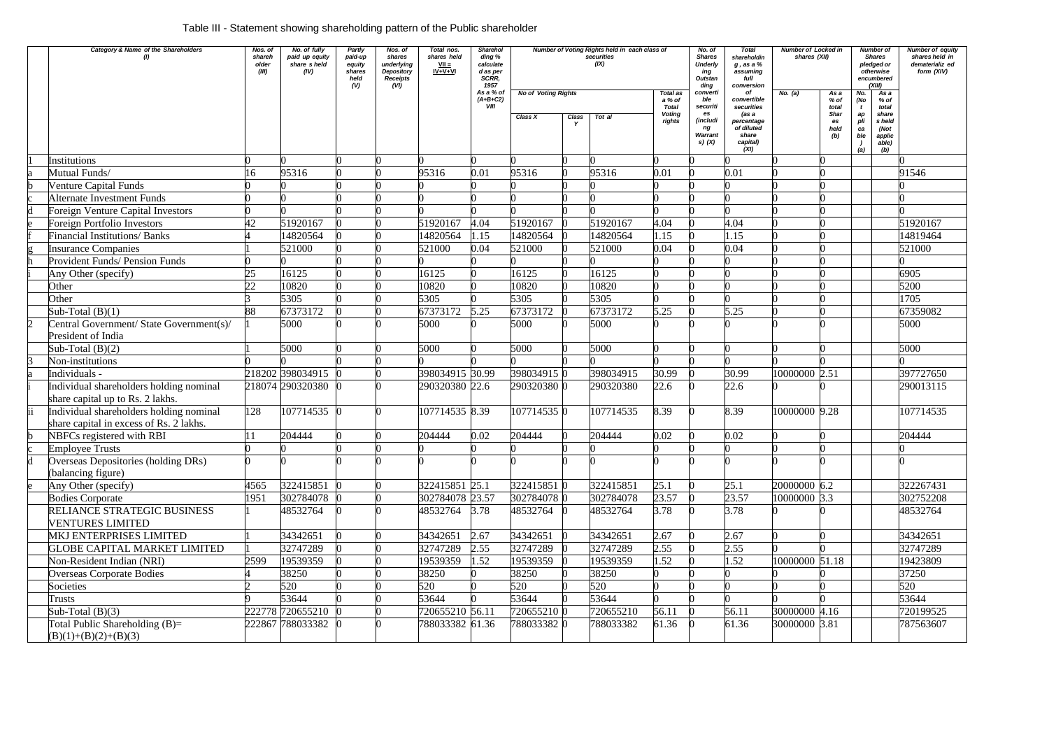# Table III - Statement showing shareholding pattern of the Public shareholder

|                         | Category & Name of the Shareholders                                                | Nos. of<br>shareh<br>older<br>(III) | No. of fully<br>paid up equity<br>share s held<br>(IV) | Partly<br>paid-up<br>equity<br>shares<br>held<br>(V) | Nos. of<br>shares<br>underlying<br>Depository<br>Receipts<br>(VI) | Total nos.<br>shares held<br>$VII =$<br>$IV + V + VI$ | <b>Sharehol</b><br>ding %<br>calculate<br>d as per<br>SCRR,<br>1957 |                                       |       | Number of Voting Rights held in each class of<br>securities<br>(IX) |                                                               | No. of<br><b>Shares</b><br><b>Underly</b><br>ing<br>Outstan<br>ding        | <b>Total</b><br>shareholdin<br>g , as a %<br>assuming<br>full<br>conversion                       | <b>Number of Locked in</b><br>shares (XII) |                                                           | Number of<br><b>Shares</b><br>pledged or<br>otherwise<br>encumbered<br>(XIII)<br>$\overline{Asa}$<br>No. |                                                                    | Number of equity<br>shares held in<br>dematerializ ed<br>form (XIV) |
|-------------------------|------------------------------------------------------------------------------------|-------------------------------------|--------------------------------------------------------|------------------------------------------------------|-------------------------------------------------------------------|-------------------------------------------------------|---------------------------------------------------------------------|---------------------------------------|-------|---------------------------------------------------------------------|---------------------------------------------------------------|----------------------------------------------------------------------------|---------------------------------------------------------------------------------------------------|--------------------------------------------|-----------------------------------------------------------|----------------------------------------------------------------------------------------------------------|--------------------------------------------------------------------|---------------------------------------------------------------------|
|                         |                                                                                    |                                     |                                                        |                                                      |                                                                   |                                                       | As a % of<br>$(A+B+C2)$<br><b>VIII</b>                              | <b>No of Voting Rights</b><br>Class X | Class | Tot al                                                              | Total as<br>a % of<br><b>Total</b><br><b>Voting</b><br>rights | converti<br>ble<br>securiti<br>es<br>(includi<br>ng<br>Warrant<br>s) $(X)$ | of<br>convertible<br>securities<br>(as a<br>percentage<br>of diluted<br>share<br>capital)<br>(XI) | No. (a)                                    | As a<br>% of<br>total<br><b>Shar</b><br>es<br>held<br>(b) | (No<br>t<br>ap<br>pli<br>ca<br>ble<br>(a)                                                                | % of<br>total<br>share<br>s held<br>(Not<br>applic<br>able)<br>(b) |                                                                     |
|                         | <b>Institutions</b>                                                                |                                     |                                                        |                                                      |                                                                   |                                                       |                                                                     |                                       |       |                                                                     |                                                               |                                                                            |                                                                                                   |                                            |                                                           |                                                                                                          |                                                                    |                                                                     |
|                         | Mutual Funds/                                                                      | .6                                  | 95316                                                  |                                                      |                                                                   | 95316                                                 | 0.01                                                                | 95316                                 |       | 95316                                                               | 0.01                                                          |                                                                            | 0.01                                                                                              |                                            |                                                           |                                                                                                          |                                                                    | 91546                                                               |
|                         | <b>Venture Capital Funds</b>                                                       |                                     |                                                        |                                                      |                                                                   |                                                       |                                                                     |                                       |       |                                                                     |                                                               |                                                                            |                                                                                                   |                                            |                                                           |                                                                                                          |                                                                    |                                                                     |
|                         | <b>Alternate Investment Funds</b>                                                  |                                     |                                                        |                                                      |                                                                   |                                                       |                                                                     |                                       |       |                                                                     |                                                               |                                                                            |                                                                                                   |                                            |                                                           |                                                                                                          |                                                                    |                                                                     |
|                         | <b>Foreign Venture Capital Investors</b>                                           |                                     |                                                        |                                                      |                                                                   |                                                       |                                                                     |                                       |       |                                                                     |                                                               |                                                                            |                                                                                                   |                                            |                                                           |                                                                                                          |                                                                    |                                                                     |
|                         | <b>Foreign Portfolio Investors</b>                                                 | 42                                  | 51920167                                               |                                                      |                                                                   | 51920167                                              | 4.04                                                                | 51920167                              |       | 51920167                                                            | 4.04                                                          |                                                                            | 4.04                                                                                              |                                            |                                                           |                                                                                                          |                                                                    | 51920167                                                            |
|                         | <b>Financial Institutions/ Banks</b>                                               |                                     | 14820564                                               |                                                      |                                                                   | 14820564                                              | 1.15                                                                | 14820564                              |       | 14820564                                                            | 1.15                                                          |                                                                            | 1.15                                                                                              |                                            |                                                           |                                                                                                          |                                                                    | 14819464                                                            |
|                         | <b>Insurance Companies</b>                                                         |                                     | 521000                                                 |                                                      |                                                                   | 521000                                                | 0.04                                                                | 521000                                |       | 521000                                                              | 0.04                                                          |                                                                            | 0.04                                                                                              |                                            |                                                           |                                                                                                          |                                                                    | 521000                                                              |
|                         | Provident Funds/ Pension Funds                                                     |                                     |                                                        |                                                      |                                                                   |                                                       |                                                                     |                                       |       |                                                                     |                                                               |                                                                            |                                                                                                   |                                            |                                                           |                                                                                                          |                                                                    |                                                                     |
|                         | Any Other (specify)                                                                | 25                                  | 16125                                                  |                                                      |                                                                   | 16125                                                 |                                                                     | 16125                                 |       | 16125                                                               |                                                               |                                                                            |                                                                                                   |                                            |                                                           |                                                                                                          |                                                                    | 6905                                                                |
|                         | Other                                                                              | 22                                  | 10820                                                  |                                                      |                                                                   | 10820                                                 |                                                                     | 10820                                 |       | 10820                                                               |                                                               |                                                                            |                                                                                                   |                                            |                                                           |                                                                                                          |                                                                    | 5200                                                                |
|                         | Other                                                                              |                                     | 5305                                                   |                                                      |                                                                   | 5305                                                  |                                                                     | 5305                                  |       | 5305                                                                |                                                               |                                                                            |                                                                                                   |                                            |                                                           |                                                                                                          |                                                                    | 1705                                                                |
|                         | Sub-Total $(B)(1)$                                                                 | 88                                  | 67373172                                               |                                                      |                                                                   | 67373172                                              | 5.25                                                                | 67373172                              |       | 67373172                                                            | 5.25                                                          |                                                                            | 5.25                                                                                              |                                            |                                                           |                                                                                                          |                                                                    | 67359082                                                            |
|                         | Central Government/ State Government(s)/<br>President of India                     |                                     | 5000                                                   |                                                      |                                                                   | 5000                                                  |                                                                     | 5000                                  |       | 5000                                                                |                                                               |                                                                            |                                                                                                   |                                            |                                                           |                                                                                                          |                                                                    | 5000                                                                |
|                         | Sub-Total $(B)(2)$                                                                 |                                     | 5000                                                   |                                                      |                                                                   | 5000                                                  |                                                                     | 5000                                  |       | 5000                                                                |                                                               |                                                                            |                                                                                                   |                                            |                                                           |                                                                                                          |                                                                    | 5000                                                                |
|                         | Non-institutions                                                                   |                                     |                                                        |                                                      |                                                                   |                                                       |                                                                     |                                       |       |                                                                     |                                                               |                                                                            |                                                                                                   |                                            |                                                           |                                                                                                          |                                                                    |                                                                     |
|                         | Individuals -                                                                      |                                     | 218202 398034915                                       |                                                      |                                                                   | 398034915 30.99                                       |                                                                     | 398034915                             |       | 398034915                                                           | 30.99                                                         |                                                                            | 30.99                                                                                             | 10000000 2.51                              |                                                           |                                                                                                          |                                                                    | 397727650                                                           |
|                         | Individual shareholders holding nominal<br>share capital up to Rs. 2 lakhs.        |                                     | 218074 290320380                                       |                                                      |                                                                   | 290320380 22.6                                        |                                                                     | 290320380 0                           |       | 290320380                                                           | 22.6                                                          |                                                                            | 22.6                                                                                              |                                            |                                                           |                                                                                                          |                                                                    | 290013115                                                           |
|                         | Individual shareholders holding nominal<br>share capital in excess of Rs. 2 lakhs. | 128                                 | 107714535 0                                            |                                                      |                                                                   | 107714535 8.39                                        |                                                                     | 107714535 0                           |       | 107714535                                                           | 8.39                                                          |                                                                            | 8.39                                                                                              | 10000000 9.28                              |                                                           |                                                                                                          |                                                                    | 107714535                                                           |
|                         | NBFCs registered with RBI                                                          |                                     | 204444                                                 |                                                      |                                                                   | 204444                                                | 0.02                                                                | 204444                                |       | 204444                                                              | 0.02                                                          |                                                                            | 0.02                                                                                              |                                            |                                                           |                                                                                                          |                                                                    | 204444                                                              |
|                         | <b>Employee Trusts</b>                                                             |                                     |                                                        |                                                      |                                                                   |                                                       |                                                                     |                                       |       |                                                                     |                                                               |                                                                            |                                                                                                   |                                            |                                                           |                                                                                                          |                                                                    |                                                                     |
| $\overline{\mathsf{d}}$ | Overseas Depositories (holding DRs)<br>(balancing figure)                          |                                     |                                                        |                                                      |                                                                   |                                                       |                                                                     |                                       |       |                                                                     |                                                               |                                                                            |                                                                                                   |                                            |                                                           |                                                                                                          |                                                                    |                                                                     |
| e                       | Any Other (specify)                                                                | 4565                                | 322415851 0                                            |                                                      |                                                                   | 322415851 25.1                                        |                                                                     | 322415851                             |       | 322415851                                                           | 25.1                                                          |                                                                            | 25.1                                                                                              | 20000000 6.2                               |                                                           |                                                                                                          |                                                                    | 322267431                                                           |
|                         | <b>Bodies Corporate</b>                                                            | 1951                                | 302784078                                              |                                                      |                                                                   | 302784078 23.57                                       |                                                                     | 302784078 0                           |       | 302784078                                                           | 23.57                                                         |                                                                            | 23.57                                                                                             | 10000000 3.3                               |                                                           |                                                                                                          |                                                                    | 302752208                                                           |
|                         | RELIANCE STRATEGIC BUSINESS<br><b>VENTURES LIMITED</b>                             |                                     | 48532764                                               |                                                      |                                                                   | 48532764 3.78                                         |                                                                     | 48532764                              |       | 48532764                                                            | 3.78                                                          |                                                                            | 3.78                                                                                              |                                            |                                                           |                                                                                                          |                                                                    | 48532764                                                            |
|                         | MKJ ENTERPRISES LIMITED                                                            |                                     | 34342651                                               |                                                      |                                                                   | 34342651                                              | 2.67                                                                | 34342651                              |       | 34342651                                                            | 2.67                                                          |                                                                            | 2.67                                                                                              |                                            |                                                           |                                                                                                          |                                                                    | 34342651                                                            |
|                         | <b>GLOBE CAPITAL MARKET LIMITED</b>                                                |                                     | 32747289                                               |                                                      |                                                                   | 32747289                                              | 2.55                                                                | 32747289                              |       | 32747289                                                            | 2.55                                                          |                                                                            | 2.55                                                                                              |                                            |                                                           |                                                                                                          |                                                                    | 32747289                                                            |
|                         | Non-Resident Indian (NRI)                                                          | 2599                                | 19539359                                               |                                                      |                                                                   | 19539359                                              | 1.52                                                                | 19539359                              |       | 19539359                                                            | 1.52                                                          |                                                                            | 1.52                                                                                              | 10000000 51.18                             |                                                           |                                                                                                          |                                                                    | 19423809                                                            |
|                         | <b>Overseas Corporate Bodies</b>                                                   |                                     | 38250                                                  |                                                      |                                                                   | 38250                                                 |                                                                     | 38250                                 |       | 38250                                                               |                                                               |                                                                            |                                                                                                   |                                            |                                                           |                                                                                                          |                                                                    | 37250                                                               |
|                         | Societies                                                                          |                                     | 520                                                    |                                                      |                                                                   | 520                                                   |                                                                     | 520                                   |       | 520                                                                 |                                                               |                                                                            |                                                                                                   |                                            |                                                           |                                                                                                          |                                                                    | 520                                                                 |
|                         | Trusts                                                                             |                                     | 53644                                                  |                                                      |                                                                   | 53644                                                 |                                                                     | 53644                                 |       | 53644                                                               |                                                               |                                                                            |                                                                                                   |                                            |                                                           |                                                                                                          |                                                                    | 53644                                                               |
|                         | Sub-Total $(B)(3)$                                                                 |                                     | 222778 720655210                                       |                                                      |                                                                   | 720655210 56.11                                       |                                                                     | 720655210 0                           |       | 720655210                                                           | 56.11                                                         |                                                                            | 56.11                                                                                             | 30000000 4.16                              |                                                           |                                                                                                          |                                                                    | 720199525                                                           |
|                         | Total Public Shareholding (B)=<br>$(B)(1)+(B)(2)+(B)(3)$                           |                                     | 222867 788033382                                       |                                                      |                                                                   | 788033382 61.36                                       |                                                                     | 788033382 0                           |       | 788033382                                                           | 61.36                                                         |                                                                            | 61.36                                                                                             | 30000000 3.81                              |                                                           |                                                                                                          |                                                                    | 787563607                                                           |